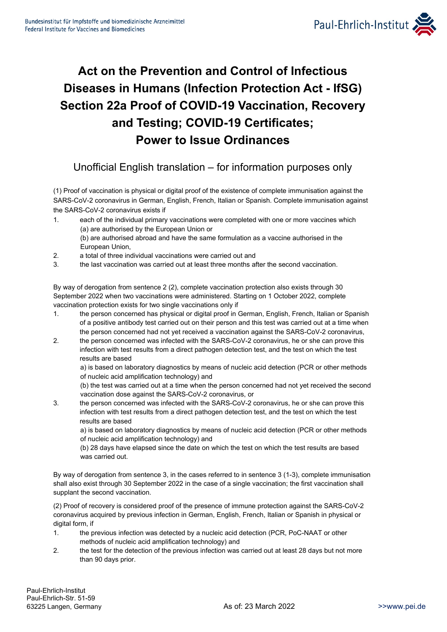

## **Act on the Prevention and Control of Infectious Diseases in Humans (Infection Protection Act - IfSG) Section 22a Proof of COVID-19 Vaccination, Recovery and Testing; COVID-19 Certificates; Power to Issue Ordinances**

## Unofficial English translation – for information purposes only

(1) Proof of vaccination is physical or digital proof of the existence of complete immunisation against the SARS-CoV-2 coronavirus in German, English, French, Italian or Spanish. Complete immunisation against the SARS-CoV-2 coronavirus exists if

- 1. each of the individual primary vaccinations were completed with one or more vaccines which (a) are authorised by the European Union or (b) are authorised abroad and have the same formulation as a vaccine authorised in the European Union,
- 2. a total of three individual vaccinations were carried out and
- 3. the last vaccination was carried out at least three months after the second vaccination.

By way of derogation from sentence 2 (2), complete vaccination protection also exists through 30 September 2022 when two vaccinations were administered. Starting on 1 October 2022, complete vaccination protection exists for two single vaccinations only if

- 1. the person concerned has physical or digital proof in German, English, French, Italian or Spanish of a positive antibody test carried out on their person and this test was carried out at a time when the person concerned had not yet received a vaccination against the SARS-CoV-2 coronavirus,
- 2. the person concerned was infected with the SARS-CoV-2 coronavirus, he or she can prove this infection with test results from a direct pathogen detection test, and the test on which the test results are based

a) is based on laboratory diagnostics by means of nucleic acid detection (PCR or other methods of nucleic acid amplification technology) and

(b) the test was carried out at a time when the person concerned had not yet received the second vaccination dose against the SARS-CoV-2 coronavirus, or

3. the person concerned was infected with the SARS-CoV-2 coronavirus, he or she can prove this infection with test results from a direct pathogen detection test, and the test on which the test results are based

a) is based on laboratory diagnostics by means of nucleic acid detection (PCR or other methods of nucleic acid amplification technology) and

(b) 28 days have elapsed since the date on which the test on which the test results are based was carried out.

By way of derogation from sentence 3, in the cases referred to in sentence 3 (1-3), complete immunisation shall also exist through 30 September 2022 in the case of a single vaccination; the first vaccination shall supplant the second vaccination.

(2) Proof of recovery is considered proof of the presence of immune protection against the SARS-CoV-2 coronavirus acquired by previous infection in German, English, French, Italian or Spanish in physical or digital form, if

- 1. the previous infection was detected by a nucleic acid detection (PCR, PoC-NAAT or other methods of nucleic acid amplification technology) and
- 2. the test for the detection of the previous infection was carried out at least 28 days but not more than 90 days prior.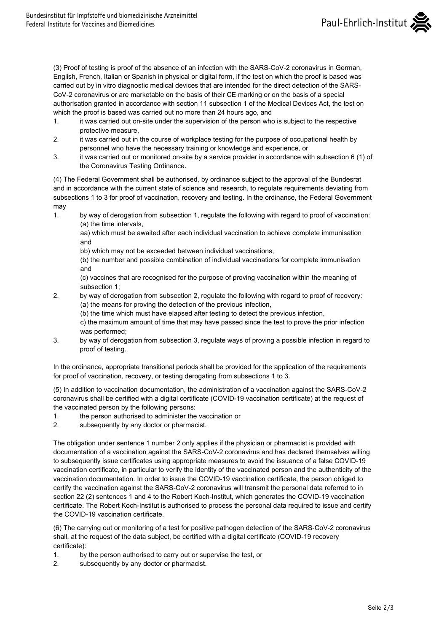

(3) Proof of testing is proof of the absence of an infection with the SARS-CoV-2 coronavirus in German, English, French, Italian or Spanish in physical or digital form, if the test on which the proof is based was carried out by in vitro diagnostic medical devices that are intended for the direct detection of the SARS-CoV-2 coronavirus or are marketable on the basis of their CE marking or on the basis of a special authorisation granted in accordance with section 11 subsection 1 of the Medical Devices Act, the test on which the proof is based was carried out no more than 24 hours ago, and

- 1. it was carried out on-site under the supervision of the person who is subject to the respective protective measure,
- 2. it was carried out in the course of workplace testing for the purpose of occupational health by personnel who have the necessary training or knowledge and experience, or
- 3. it was carried out or monitored on-site by a service provider in accordance with subsection 6 (1) of the Coronavirus Testing Ordinance.

(4) The Federal Government shall be authorised, by ordinance subject to the approval of the Bundesrat and in accordance with the current state of science and research, to regulate requirements deviating from subsections 1 to 3 for proof of vaccination, recovery and testing. In the ordinance, the Federal Government may

1. by way of derogation from subsection 1, regulate the following with regard to proof of vaccination: (a) the time intervals,

aa) which must be awaited after each individual vaccination to achieve complete immunisation and

bb) which may not be exceeded between individual vaccinations,

(b) the number and possible combination of individual vaccinations for complete immunisation and

(c) vaccines that are recognised for the purpose of proving vaccination within the meaning of subsection 1;

2. by way of derogation from subsection 2, regulate the following with regard to proof of recovery: (a) the means for proving the detection of the previous infection,

(b) the time which must have elapsed after testing to detect the previous infection,

c) the maximum amount of time that may have passed since the test to prove the prior infection was performed;

3. by way of derogation from subsection 3, regulate ways of proving a possible infection in regard to proof of testing.

In the ordinance, appropriate transitional periods shall be provided for the application of the requirements for proof of vaccination, recovery, or testing derogating from subsections 1 to 3.

(5) In addition to vaccination documentation, the administration of a vaccination against the SARS-CoV-2 coronavirus shall be certified with a digital certificate (COVID-19 vaccination certificate) at the request of the vaccinated person by the following persons:

- 1. the person authorised to administer the vaccination or
- 2. subsequently by any doctor or pharmacist.

The obligation under sentence 1 number 2 only applies if the physician or pharmacist is provided with documentation of a vaccination against the SARS-CoV-2 coronavirus and has declared themselves willing to subsequently issue certificates using appropriate measures to avoid the issuance of a false COVID-19 vaccination certificate, in particular to verify the identity of the vaccinated person and the authenticity of the vaccination documentation. In order to issue the COVID-19 vaccination certificate, the person obliged to certify the vaccination against the SARS-CoV-2 coronavirus will transmit the personal data referred to in section 22 (2) sentences 1 and 4 to the Robert Koch-Institut, which generates the COVID-19 vaccination certificate. The Robert Koch-Institut is authorised to process the personal data required to issue and certify the COVID-19 vaccination certificate.

(6) The carrying out or monitoring of a test for positive pathogen detection of the SARS-CoV-2 coronavirus shall, at the request of the data subject, be certified with a digital certificate (COVID-19 recovery certificate):

- 1. by the person authorised to carry out or supervise the test, or
- 2. subsequently by any doctor or pharmacist.